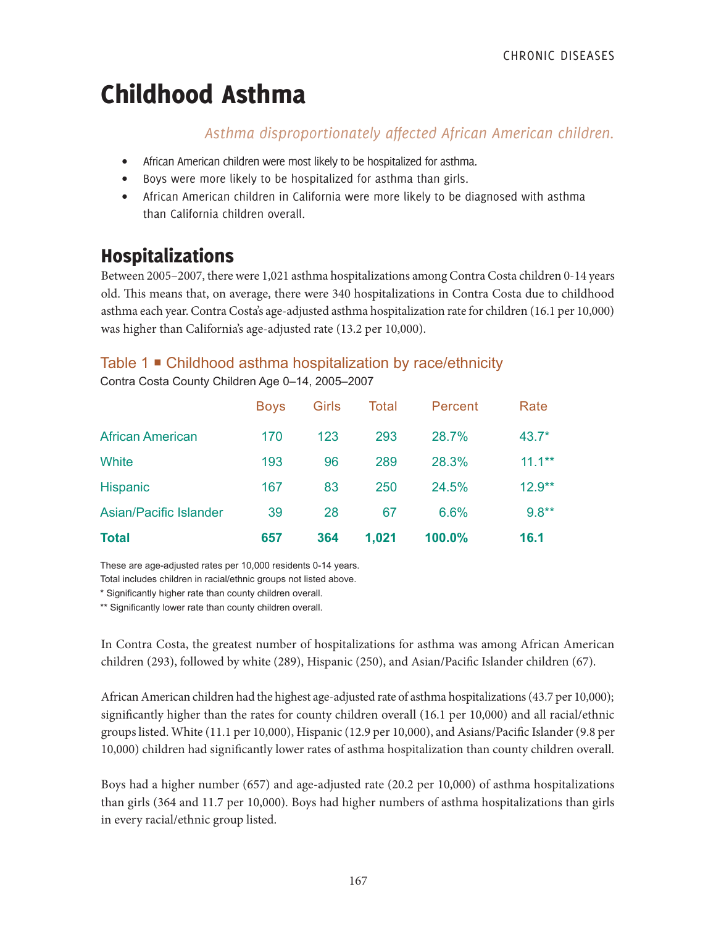# Childhood Asthma

### *Asthma disproportionately affected African American children.*

- African American children were most likely to be hospitalized for asthma.
- Boys were more likely to be hospitalized for asthma than girls.
- African American children in California were more likely to be diagnosed with asthma than California children overall.

# Hospitalizations

Between 2005–2007, there were 1,021 asthma hospitalizations among Contra Costa children 0-14 years old. This means that, on average, there were 340 hospitalizations in Contra Costa due to childhood asthma each year. Contra Costa's age-adjusted asthma hospitalization rate for children (16.1 per 10,000) was higher than California's age-adjusted rate (13.2 per 10,000).

### Table 1 Childhood asthma hospitalization by race/ethnicity

Contra Costa County Children Age 0–14, 2005–2007

| <b>Total</b>            | 657         | 364   | 1,021 | 100.0%  | 16.1      |
|-------------------------|-------------|-------|-------|---------|-----------|
| Asian/Pacific Islander  | 39          | 28    | 67    | 6.6%    | $9.8**$   |
| <b>Hispanic</b>         | 167         | 83    | 250   | 24.5%   | $12.9**$  |
| White                   | 193         | 96    | 289   | 28.3%   | $11.1***$ |
| <b>African American</b> | 170         | 123   | 293   | 28.7%   | $43.7*$   |
|                         | <b>Boys</b> | Girls | Total | Percent | Rate      |

These are age-adjusted rates per 10,000 residents 0-14 years.

Total includes children in racial/ethnic groups not listed above.

\* Significantly higher rate than county children overall.

\*\* Significantly lower rate than county children overall.

In Contra Costa, the greatest number of hospitalizations for asthma was among African American children (293), followed by white (289), Hispanic (250), and Asian/Pacific Islander children (67).

African American children had the highest age-adjusted rate of asthma hospitalizations (43.7 per 10,000); significantly higher than the rates for county children overall (16.1 per 10,000) and all racial/ethnic groups listed. White (11.1 per 10,000), Hispanic (12.9 per 10,000), and Asians/Pacific Islander (9.8 per 10,000) children had significantly lower rates of asthma hospitalization than county children overall.

Boys had a higher number (657) and age-adjusted rate (20.2 per 10,000) of asthma hospitalizations than girls (364 and 11.7 per 10,000). Boys had higher numbers of asthma hospitalizations than girls in every racial/ethnic group listed.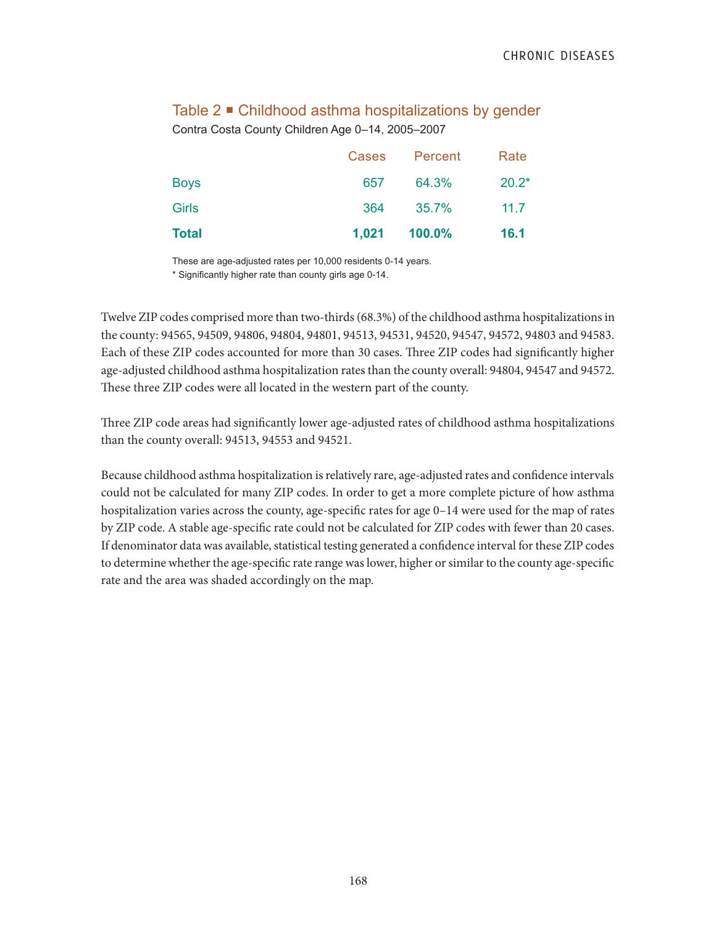|  |  |  | Table 2 ■ Childhood asthma hospitalizations by gender |  |  |
|--|--|--|-------------------------------------------------------|--|--|
|--|--|--|-------------------------------------------------------|--|--|

Contra Costa County Children Age 0–14, 2005–2007

| <b>Total</b> |       | 1,021 100.0% | <b>16.1</b> |
|--------------|-------|--------------|-------------|
| <b>Girls</b> | 364   | 35.7%        | 11.7        |
| <b>Boys</b>  | 657   | 64.3%        | $20.2*$     |
|              | Cases | Percent      | Rate        |

These are age-adjusted rates per 10,000 residents 0-14 years.

\* Significantly higher rate than county girls age 0-14.

Twelve ZIP codes comprised more than two-thirds (68.3%) of the childhood asthma hospitalizations in the county: 94565, 94509, 94806, 94804, 94801, 94513, 94531, 94520, 94547, 94572, 94803 and 94583. Each of these ZIP codes accounted for more than 30 cases. Three ZIP codes had significantly higher age-adjusted childhood asthma hospitalization rates than the county overall: 94804, 94547 and 94572. These three ZIP codes were all located in the western part of the county.

Three ZIP code areas had significantly lower age-adjusted rates of childhood asthma hospitalizations than the county overall: 94513, 94553 and 94521.

Because childhood asthma hospitalization is relatively rare, age-adjusted rates and confidence intervals could not be calculated for many ZIP codes. In order to get a more complete picture of how asthma hospitalization varies across the county, age-specific rates for age 0–14 were used for the map of rates by ZIP code. A stable age-specific rate could not be calculated for ZIP codes with fewer than 20 cases. If denominator data was available, statistical testing generated a confidence interval for these ZIP codes to determine whether the age-specific rate range was lower, higher or similar to the county age-specific rate and the area was shaded accordingly on the map.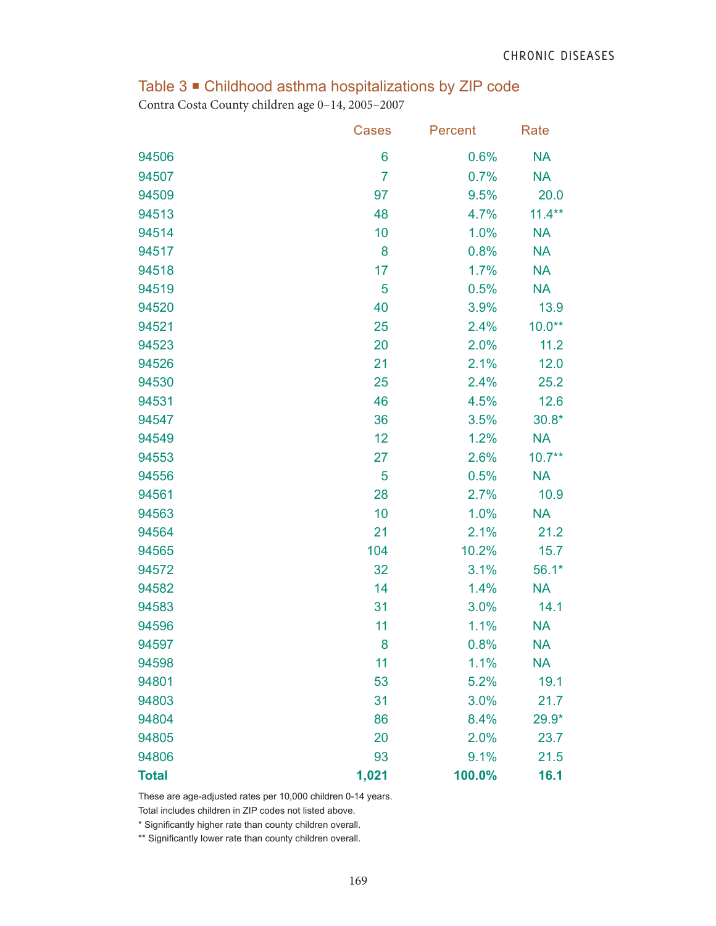# Table 3 Childhood asthma hospitalizations by ZIP code

Contra Costa County children age 0–14, 2005–2007

|              | Cases          | Percent | Rate      |
|--------------|----------------|---------|-----------|
| 94506        | 6              | 0.6%    | <b>NA</b> |
| 94507        | $\overline{7}$ | 0.7%    | <b>NA</b> |
| 94509        | 97             | 9.5%    | 20.0      |
| 94513        | 48             | 4.7%    | $11.4***$ |
| 94514        | 10             | 1.0%    | <b>NA</b> |
| 94517        | 8              | 0.8%    | <b>NA</b> |
| 94518        | 17             | 1.7%    | <b>NA</b> |
| 94519        | 5              | 0.5%    | <b>NA</b> |
| 94520        | 40             | 3.9%    | 13.9      |
| 94521        | 25             | 2.4%    | $10.0**$  |
| 94523        | 20             | 2.0%    | 11.2      |
| 94526        | 21             | 2.1%    | 12.0      |
| 94530        | 25             | 2.4%    | 25.2      |
| 94531        | 46             | 4.5%    | 12.6      |
| 94547        | 36             | 3.5%    | $30.8*$   |
| 94549        | 12             | 1.2%    | <b>NA</b> |
| 94553        | 27             | 2.6%    | $10.7**$  |
| 94556        | 5              | 0.5%    | <b>NA</b> |
| 94561        | 28             | 2.7%    | 10.9      |
| 94563        | 10             | 1.0%    | <b>NA</b> |
| 94564        | 21             | 2.1%    | 21.2      |
| 94565        | 104            | 10.2%   | 15.7      |
| 94572        | 32             | 3.1%    | $56.1*$   |
| 94582        | 14             | 1.4%    | <b>NA</b> |
| 94583        | 31             | 3.0%    | 14.1      |
| 94596        | 11             | 1.1%    | <b>NA</b> |
| 94597        | 8              | 0.8%    | <b>NA</b> |
| 94598        | 11             | 1.1%    | <b>NA</b> |
| 94801        | 53             | 5.2%    | 19.1      |
| 94803        | 31             | 3.0%    | 21.7      |
| 94804        | 86             | 8.4%    | $29.9*$   |
| 94805        | 20             | 2.0%    | 23.7      |
| 94806        | 93             | 9.1%    | 21.5      |
| <b>Total</b> | 1,021          | 100.0%  | 16.1      |

These are age-adjusted rates per 10,000 children 0-14 years.

Total includes children in ZIP codes not listed above.

\* Significantly higher rate than county children overall.

\*\* Significantly lower rate than county children overall.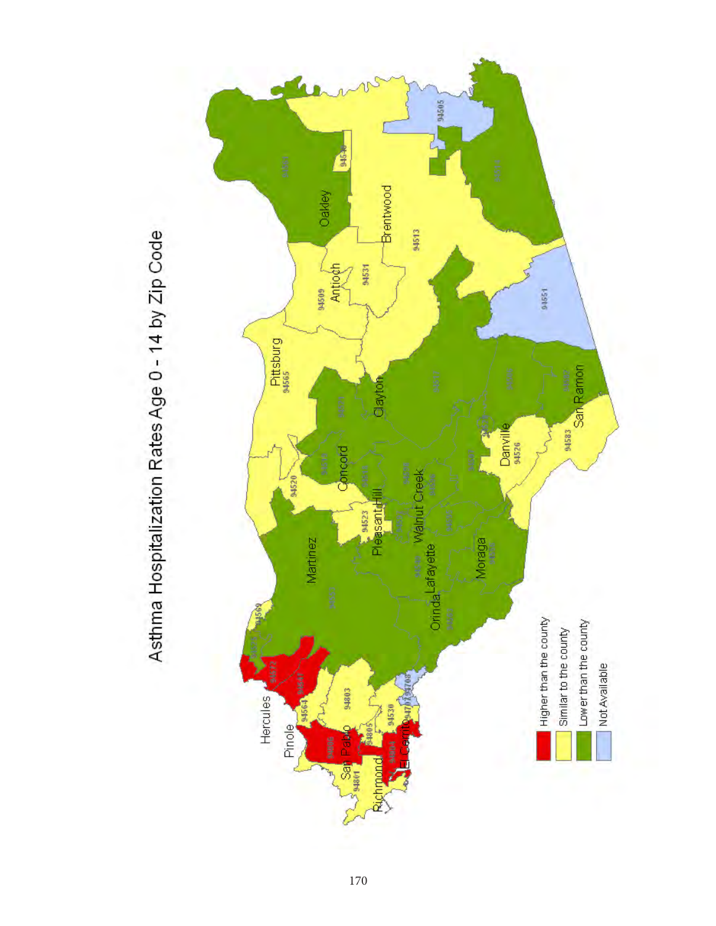

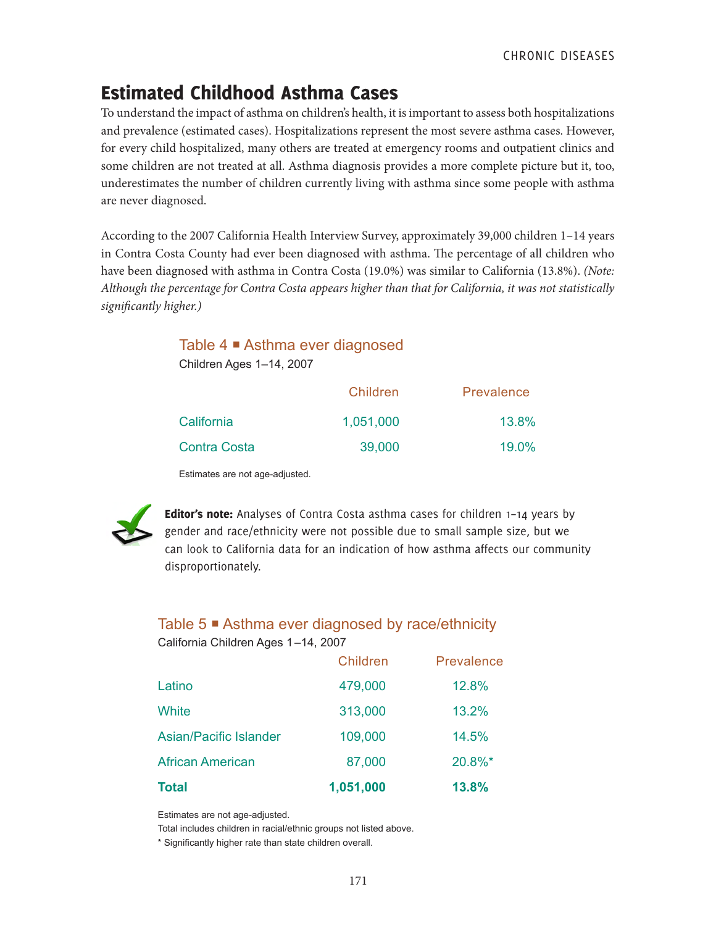# Estimated Childhood Asthma Cases

To understand the impact of asthma on children's health, it is important to assess both hospitalizations and prevalence (estimated cases). Hospitalizations represent the most severe asthma cases. However, for every child hospitalized, many others are treated at emergency rooms and outpatient clinics and some children are not treated at all. Asthma diagnosis provides a more complete picture but it, too, underestimates the number of children currently living with asthma since some people with asthma are never diagnosed.

According to the 2007 California Health Interview Survey, approximately 39,000 children 1–14 years in Contra Costa County had ever been diagnosed with asthma. The percentage of all children who have been diagnosed with asthma in Contra Costa (19.0%) was similar to California (13.8%). *(Note: Although the percentage for Contra Costa appears higher than that for California, it was not statistically significantly higher.)*

# Table 4 **■** Asthma ever diagnosed

Children Ages 1–14, 2007

|                     | Children  | Prevalence |
|---------------------|-----------|------------|
| California          | 1,051,000 | 13.8%      |
| <b>Contra Costa</b> | 39,000    | $19.0\%$   |

Estimates are not age-adjusted.



Editor's note: Analyses of Contra Costa asthma cases for children 1-14 years by gender and race/ethnicity were not possible due to small sample size, but we can look to California data for an indication of how asthma affects our community disproportionately.

## Table 5 ■ Asthma ever diagnosed by race/ethnicity

California Children Ages 1–14, 2007

| <b>Total</b>                  | 1,051,000 | 13.8%      |
|-------------------------------|-----------|------------|
| <b>African American</b>       | 87,000    | 20.8%*     |
| <b>Asian/Pacific Islander</b> | 109,000   | 14.5%      |
| White                         | 313,000   | 13.2%      |
| Latino                        | 479,000   | 12.8%      |
|                               | Children  | Prevalence |

Estimates are not age-adjusted.

Total includes children in racial/ethnic groups not listed above.

\* Significantly higher rate than state children overall.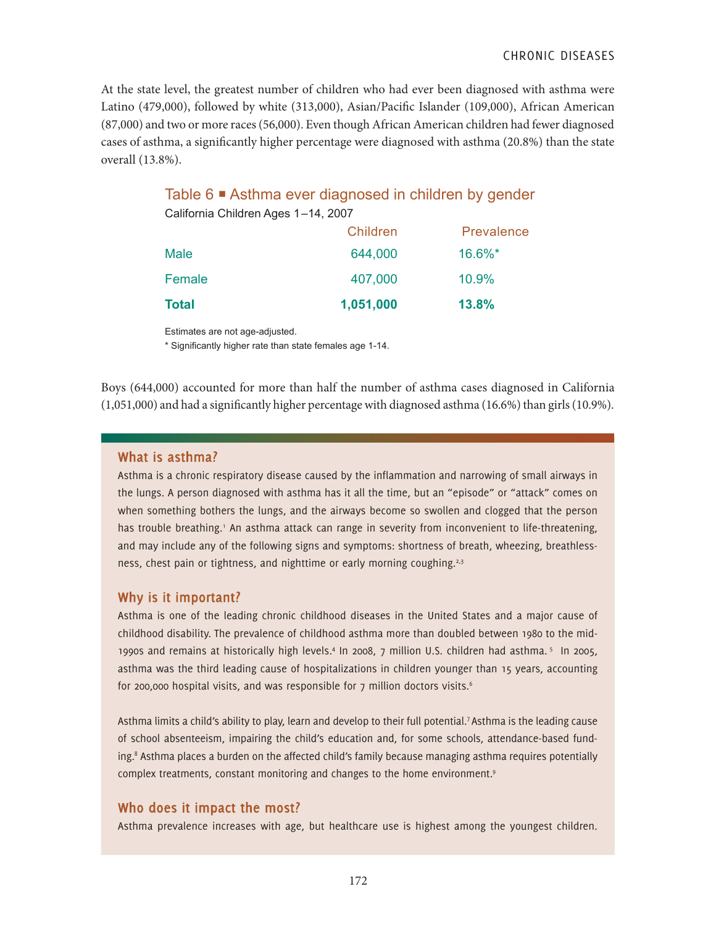At the state level, the greatest number of children who had ever been diagnosed with asthma were Latino (479,000), followed by white (313,000), Asian/Pacific Islander (109,000), African American (87,000) and two or more races (56,000). Even though African American children had fewer diagnosed cases of asthma, a significantly higher percentage were diagnosed with asthma (20.8%) than the state overall (13.8%).

#### Table 6 ■ Asthma ever diagnosed in children by gender California Children Ages 1–14, 2007

| <b>Total</b> | 1,051,000 | 13.8%      |
|--------------|-----------|------------|
| Female       | 407,000   | 10.9%      |
| <b>Male</b>  | 644,000   | $16.6\%$ * |
|              | Children  | Prevalence |

Estimates are not age-adjusted.

\* Significantly higher rate than state females age 1-14.

Boys (644,000) accounted for more than half the number of asthma cases diagnosed in California (1,051,000) and had a significantly higher percentage with diagnosed asthma (16.6%) than girls (10.9%).

#### **What is asthma?**

Asthma is a chronic respiratory disease caused by the inflammation and narrowing of small airways in the lungs. A person diagnosed with asthma has it all the time, but an "episode" or "attack" comes on when something bothers the lungs, and the airways become so swollen and clogged that the person has trouble breathing.<sup>1</sup> An asthma attack can range in severity from inconvenient to life-threatening, and may include any of the following signs and symptoms: shortness of breath, wheezing, breathlessness, chest pain or tightness, and nighttime or early morning coughing.<sup>2,3</sup>

#### **Why is it important?**

Asthma is one of the leading chronic childhood diseases in the United States and a major cause of childhood disability. The prevalence of childhood asthma more than doubled between 1980 to the mid-1990s and remains at historically high levels.<sup>4</sup> In 2008, 7 million U.S. children had asthma.<sup>5</sup> In 2005, asthma was the third leading cause of hospitalizations in children younger than 15 years, accounting for 200,000 hospital visits, and was responsible for  $7$  million doctors visits.<sup>6</sup>

Asthma limits a child's ability to play, learn and develop to their full potential.7 Asthma is the leading cause of school absenteeism, impairing the child's education and, for some schools, attendance-based funding.<sup>8</sup> Asthma places a burden on the affected child's family because managing asthma requires potentially complex treatments, constant monitoring and changes to the home environment.<sup>9</sup>

#### **Who does it impact the most?**

Asthma prevalence increases with age, but healthcare use is highest among the youngest children.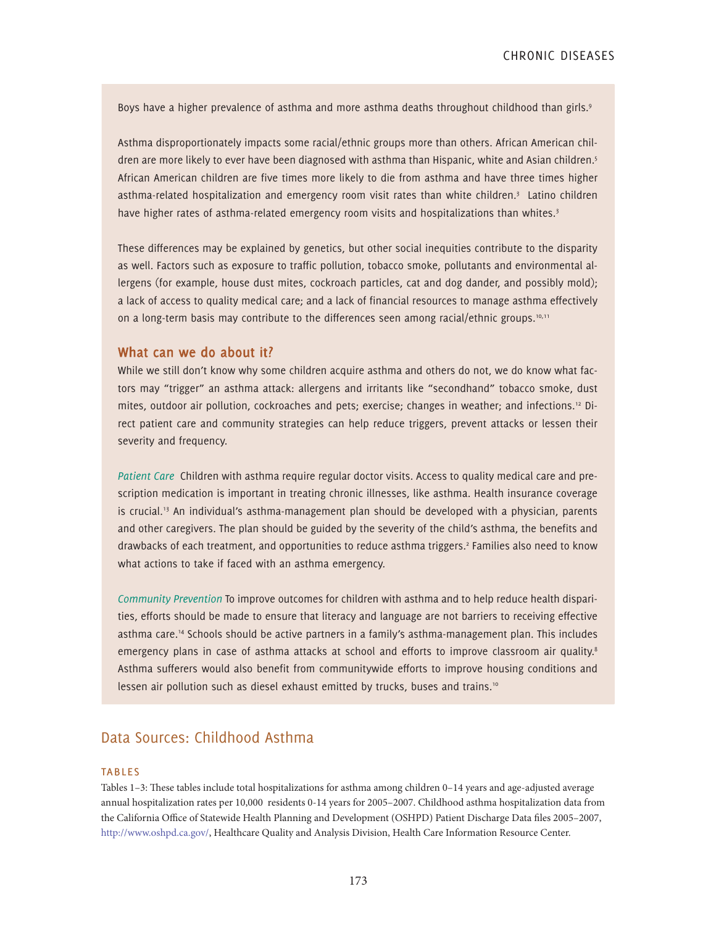Boys have a higher prevalence of asthma and more asthma deaths throughout childhood than girls.<sup>9</sup>

Asthma disproportionately impacts some racial/ethnic groups more than others. African American children are more likely to ever have been diagnosed with asthma than Hispanic, white and Asian children.<sup>5</sup> African American children are five times more likely to die from asthma and have three times higher asthma-related hospitalization and emergency room visit rates than white children.<sup>3</sup> Latino children have higher rates of asthma-related emergency room visits and hospitalizations than whites.<sup>3</sup>

These differences may be explained by genetics, but other social inequities contribute to the disparity as well. Factors such as exposure to traffic pollution, tobacco smoke, pollutants and environmental allergens (for example, house dust mites, cockroach particles, cat and dog dander, and possibly mold); a lack of access to quality medical care; and a lack of financial resources to manage asthma effectively on a long-term basis may contribute to the differences seen among racial/ethnic groups.<sup>10,11</sup>

#### **What can we do about it?**

While we still don't know why some children acquire asthma and others do not, we do know what factors may "trigger" an asthma attack: allergens and irritants like "secondhand" tobacco smoke, dust mites, outdoor air pollution, cockroaches and pets; exercise; changes in weather; and infections.12 Direct patient care and community strategies can help reduce triggers, prevent attacks or lessen their severity and frequency.

*Patient Care* Children with asthma require regular doctor visits. Access to quality medical care and prescription medication is important in treating chronic illnesses, like asthma. Health insurance coverage is crucial.<sup>13</sup> An individual's asthma-management plan should be developed with a physician, parents and other caregivers. The plan should be guided by the severity of the child's asthma, the benefits and drawbacks of each treatment, and opportunities to reduce asthma triggers.<sup>2</sup> Families also need to know what actions to take if faced with an asthma emergency.

*Community Prevention* To improve outcomes for children with asthma and to help reduce health disparities, efforts should be made to ensure that literacy and language are not barriers to receiving effective asthma care.14 Schools should be active partners in a family's asthma-management plan. This includes emergency plans in case of asthma attacks at school and efforts to improve classroom air quality.<sup>8</sup> Asthma sufferers would also benefit from communitywide efforts to improve housing conditions and lessen air pollution such as diesel exhaust emitted by trucks, buses and trains.<sup>10</sup>

#### Data Sources: Childhood Asthma

#### **TABLES**

Tables 1–3: These tables include total hospitalizations for asthma among children 0–14 years and age-adjusted average annual hospitalization rates per 10,000 residents 0-14 years for 2005–2007. Childhood asthma hospitalization data from the California Office of Statewide Health Planning and Development (OSHPD) Patient Discharge Data files 2005–2007, http://www.oshpd.ca.gov/, Healthcare Quality and Analysis Division, Health Care Information Resource Center.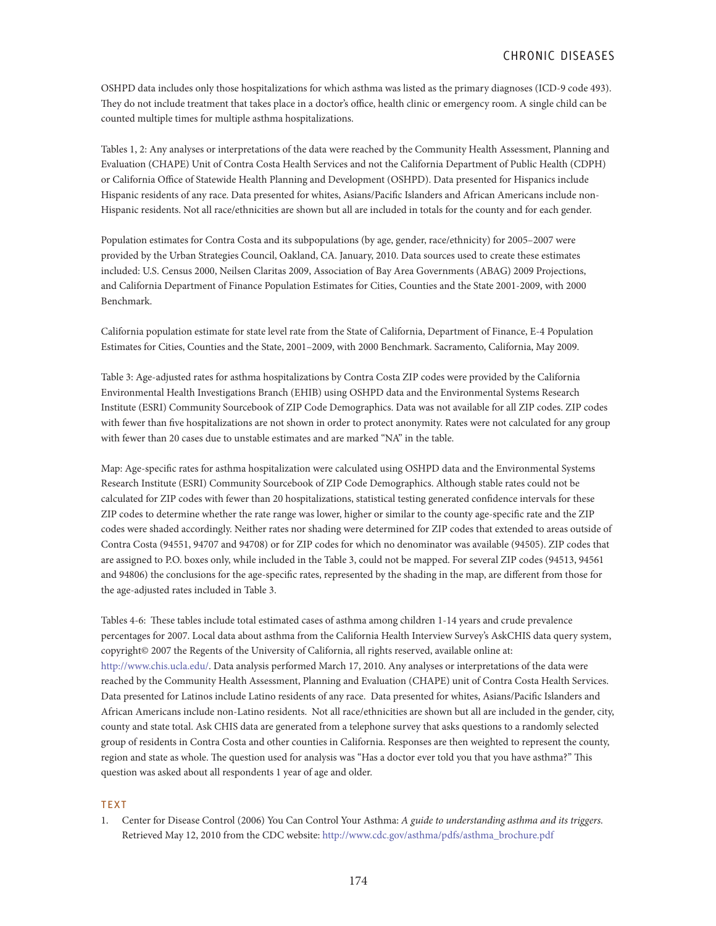OSHPD data includes only those hospitalizations for which asthma was listed as the primary diagnoses (ICD-9 code 493). They do not include treatment that takes place in a doctor's office, health clinic or emergency room. A single child can be counted multiple times for multiple asthma hospitalizations.

Tables 1, 2: Any analyses or interpretations of the data were reached by the Community Health Assessment, Planning and Evaluation (CHAPE) Unit of Contra Costa Health Services and not the California Department of Public Health (CDPH) or California Office of Statewide Health Planning and Development (OSHPD). Data presented for Hispanics include Hispanic residents of any race. Data presented for whites, Asians/Pacific Islanders and African Americans include non-Hispanic residents. Not all race/ethnicities are shown but all are included in totals for the county and for each gender.

Population estimates for Contra Costa and its subpopulations (by age, gender, race/ethnicity) for 2005–2007 were provided by the Urban Strategies Council, Oakland, CA. January, 2010. Data sources used to create these estimates included: U.S. Census 2000, Neilsen Claritas 2009, Association of Bay Area Governments (ABAG) 2009 Projections, and California Department of Finance Population Estimates for Cities, Counties and the State 2001-2009, with 2000 Benchmark.

California population estimate for state level rate from the State of California, Department of Finance, E-4 Population Estimates for Cities, Counties and the State, 2001–2009, with 2000 Benchmark. Sacramento, California, May 2009.

Table 3: Age-adjusted rates for asthma hospitalizations by Contra Costa ZIP codes were provided by the California Environmental Health Investigations Branch (EHIB) using OSHPD data and the Environmental Systems Research Institute (ESRI) Community Sourcebook of ZIP Code Demographics. Data was not available for all ZIP codes. ZIP codes with fewer than five hospitalizations are not shown in order to protect anonymity. Rates were not calculated for any group with fewer than 20 cases due to unstable estimates and are marked "NA" in the table.

Map: Age-specific rates for asthma hospitalization were calculated using OSHPD data and the Environmental Systems Research Institute (ESRI) Community Sourcebook of ZIP Code Demographics. Although stable rates could not be calculated for ZIP codes with fewer than 20 hospitalizations, statistical testing generated confidence intervals for these ZIP codes to determine whether the rate range was lower, higher or similar to the county age-specific rate and the ZIP codes were shaded accordingly. Neither rates nor shading were determined for ZIP codes that extended to areas outside of Contra Costa (94551, 94707 and 94708) or for ZIP codes for which no denominator was available (94505). ZIP codes that are assigned to P.O. boxes only, while included in the Table 3, could not be mapped. For several ZIP codes (94513, 94561 and 94806) the conclusions for the age-specific rates, represented by the shading in the map, are different from those for the age-adjusted rates included in Table 3.

Tables 4-6: These tables include total estimated cases of asthma among children 1-14 years and crude prevalence percentages for 2007. Local data about asthma from the California Health Interview Survey's AskCHIS data query system, copyright© 2007 the Regents of the University of California, all rights reserved, available online at: http://www.chis.ucla.edu/. Data analysis performed March 17, 2010. Any analyses or interpretations of the data were reached by the Community Health Assessment, Planning and Evaluation (CHAPE) unit of Contra Costa Health Services. Data presented for Latinos include Latino residents of any race. Data presented for whites, Asians/Pacific Islanders and African Americans include non-Latino residents. Not all race/ethnicities are shown but all are included in the gender, city, county and state total. Ask CHIS data are generated from a telephone survey that asks questions to a randomly selected group of residents in Contra Costa and other counties in California. Responses are then weighted to represent the county, region and state as whole. The question used for analysis was "Has a doctor ever told you that you have asthma?" This question was asked about all respondents 1 year of age and older.

#### **TEXT**

1. Center for Disease Control (2006) You Can Control Your Asthma: *A guide to understanding asthma and its triggers.*  Retrieved May 12, 2010 from the CDC website: http://www.cdc.gov/asthma/pdfs/asthma\_brochure.pdf